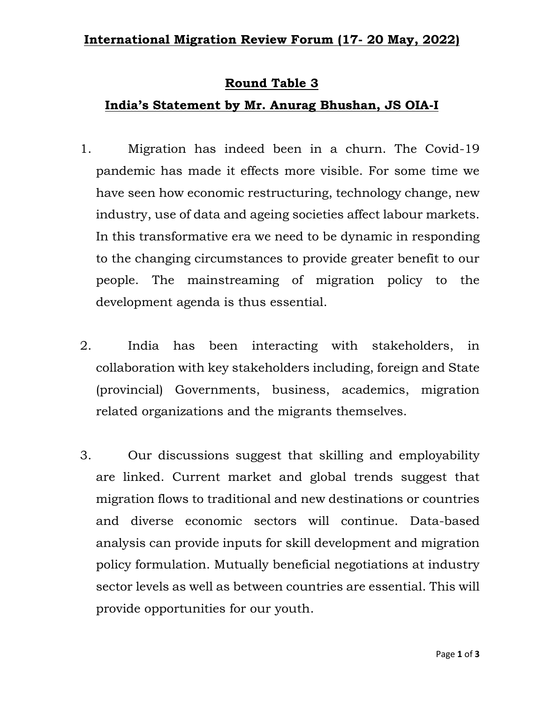## **Round Table 3**

## **India's Statement by Mr. Anurag Bhushan, JS OIA-I**

- 1. Migration has indeed been in a churn. The Covid-19 pandemic has made it effects more visible. For some time we have seen how economic restructuring, technology change, new industry, use of data and ageing societies affect labour markets. In this transformative era we need to be dynamic in responding to the changing circumstances to provide greater benefit to our people. The mainstreaming of migration policy to the development agenda is thus essential.
- 2. India has been interacting with stakeholders, in collaboration with key stakeholders including, foreign and State (provincial) Governments, business, academics, migration related organizations and the migrants themselves.
- 3. Our discussions suggest that skilling and employability are linked. Current market and global trends suggest that migration flows to traditional and new destinations or countries and diverse economic sectors will continue. Data-based analysis can provide inputs for skill development and migration policy formulation. Mutually beneficial negotiations at industry sector levels as well as between countries are essential. This will provide opportunities for our youth.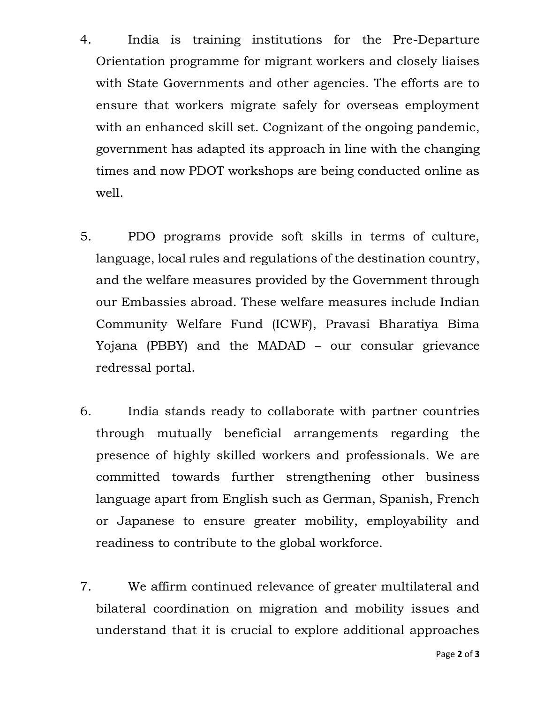- 4. India is training institutions for the Pre-Departure Orientation programme for migrant workers and closely liaises with State Governments and other agencies. The efforts are to ensure that workers migrate safely for overseas employment with an enhanced skill set. Cognizant of the ongoing pandemic, government has adapted its approach in line with the changing times and now PDOT workshops are being conducted online as well.
- 5. PDO programs provide soft skills in terms of culture, language, local rules and regulations of the destination country, and the welfare measures provided by the Government through our Embassies abroad. These welfare measures include Indian Community Welfare Fund (ICWF), Pravasi Bharatiya Bima Yojana (PBBY) and the MADAD – our consular grievance redressal portal.
- 6. India stands ready to collaborate with partner countries through mutually beneficial arrangements regarding the presence of highly skilled workers and professionals. We are committed towards further strengthening other business language apart from English such as German, Spanish, French or Japanese to ensure greater mobility, employability and readiness to contribute to the global workforce.
- 7. We affirm continued relevance of greater multilateral and bilateral coordination on migration and mobility issues and understand that it is crucial to explore additional approaches